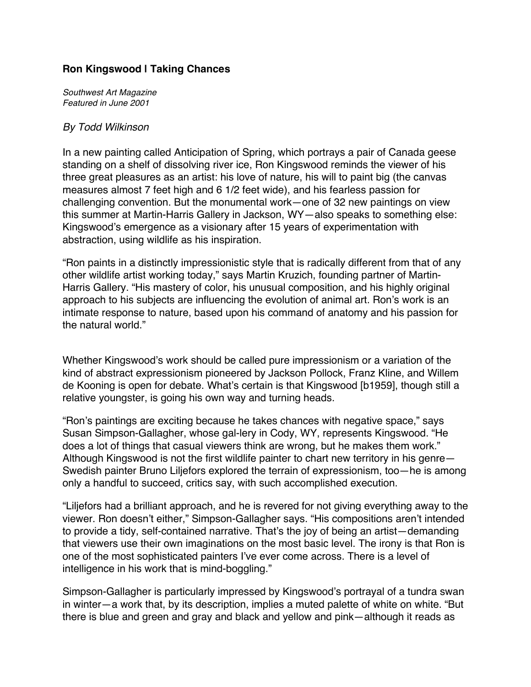## **Ron Kingswood | Taking Chances**

*Southwest Art Magazine Featured in June 2001*

## *By Todd Wilkinson*

In a new painting called Anticipation of Spring, which portrays a pair of Canada geese standing on a shelf of dissolving river ice, Ron Kingswood reminds the viewer of his three great pleasures as an artist: his love of nature, his will to paint big (the canvas measures almost 7 feet high and 6 1/2 feet wide), and his fearless passion for challenging convention. But the monumental work—one of 32 new paintings on view this summer at Martin-Harris Gallery in Jackson, WY—also speaks to something else: Kingswood's emergence as a visionary after 15 years of experimentation with abstraction, using wildlife as his inspiration.

"Ron paints in a distinctly impressionistic style that is radically different from that of any other wildlife artist working today," says Martin Kruzich, founding partner of Martin-Harris Gallery. "His mastery of color, his unusual composition, and his highly original approach to his subjects are influencing the evolution of animal art. Ron's work is an intimate response to nature, based upon his command of anatomy and his passion for the natural world."

Whether Kingswood's work should be called pure impressionism or a variation of the kind of abstract expressionism pioneered by Jackson Pollock, Franz Kline, and Willem de Kooning is open for debate. What's certain is that Kingswood [b1959], though still a relative youngster, is going his own way and turning heads.

"Ron's paintings are exciting because he takes chances with negative space," says Susan Simpson-Gallagher, whose gal-lery in Cody, WY, represents Kingswood. "He does a lot of things that casual viewers think are wrong, but he makes them work." Although Kingswood is not the first wildlife painter to chart new territory in his genre— Swedish painter Bruno Liljefors explored the terrain of expressionism, too—he is among only a handful to succeed, critics say, with such accomplished execution.

"Liljefors had a brilliant approach, and he is revered for not giving everything away to the viewer. Ron doesn't either," Simpson-Gallagher says. "His compositions aren't intended to provide a tidy, self-contained narrative. That's the joy of being an artist—demanding that viewers use their own imaginations on the most basic level. The irony is that Ron is one of the most sophisticated painters I've ever come across. There is a level of intelligence in his work that is mind-boggling."

Simpson-Gallagher is particularly impressed by Kingswood's portrayal of a tundra swan in winter—a work that, by its description, implies a muted palette of white on white. "But there is blue and green and gray and black and yellow and pink—although it reads as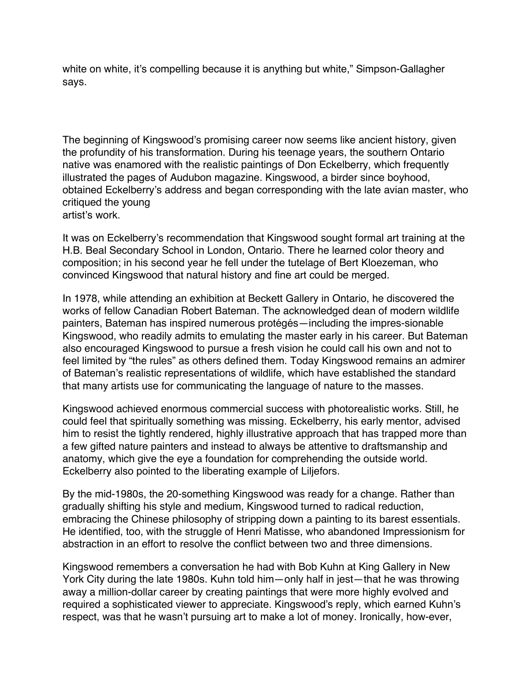white on white, it's compelling because it is anything but white," Simpson-Gallagher says.

The beginning of Kingswood's promising career now seems like ancient history, given the profundity of his transformation. During his teenage years, the southern Ontario native was enamored with the realistic paintings of Don Eckelberry, which frequently illustrated the pages of Audubon magazine. Kingswood, a birder since boyhood, obtained Eckelberry's address and began corresponding with the late avian master, who critiqued the young artist's work.

It was on Eckelberry's recommendation that Kingswood sought formal art training at the H.B. Beal Secondary School in London, Ontario. There he learned color theory and composition; in his second year he fell under the tutelage of Bert Kloezeman, who convinced Kingswood that natural history and fine art could be merged.

In 1978, while attending an exhibition at Beckett Gallery in Ontario, he discovered the works of fellow Canadian Robert Bateman. The acknowledged dean of modern wildlife painters, Bateman has inspired numerous protégés—including the impres-sionable Kingswood, who readily admits to emulating the master early in his career. But Bateman also encouraged Kingswood to pursue a fresh vision he could call his own and not to feel limited by "the rules" as others defined them. Today Kingswood remains an admirer of Bateman's realistic representations of wildlife, which have established the standard that many artists use for communicating the language of nature to the masses.

Kingswood achieved enormous commercial success with photorealistic works. Still, he could feel that spiritually something was missing. Eckelberry, his early mentor, advised him to resist the tightly rendered, highly illustrative approach that has trapped more than a few gifted nature painters and instead to always be attentive to draftsmanship and anatomy, which give the eye a foundation for comprehending the outside world. Eckelberry also pointed to the liberating example of Liljefors.

By the mid-1980s, the 20-something Kingswood was ready for a change. Rather than gradually shifting his style and medium, Kingswood turned to radical reduction, embracing the Chinese philosophy of stripping down a painting to its barest essentials. He identified, too, with the struggle of Henri Matisse, who abandoned Impressionism for abstraction in an effort to resolve the conflict between two and three dimensions.

Kingswood remembers a conversation he had with Bob Kuhn at King Gallery in New York City during the late 1980s. Kuhn told him—only half in jest—that he was throwing away a million-dollar career by creating paintings that were more highly evolved and required a sophisticated viewer to appreciate. Kingswood's reply, which earned Kuhn's respect, was that he wasn't pursuing art to make a lot of money. Ironically, how-ever,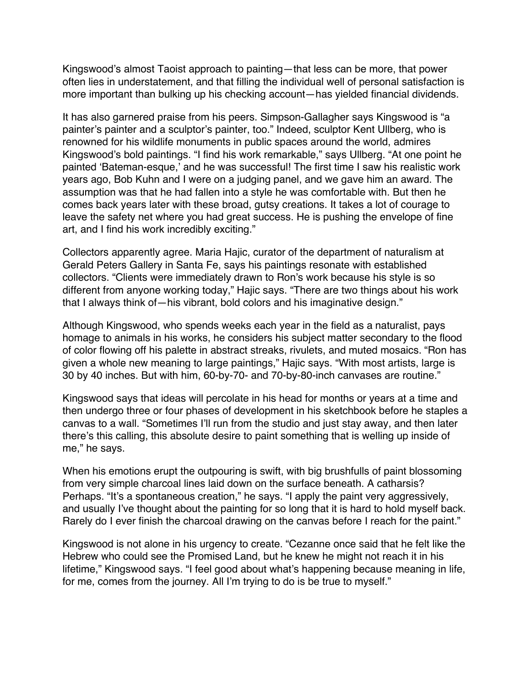Kingswood's almost Taoist approach to painting—that less can be more, that power often lies in understatement, and that filling the individual well of personal satisfaction is more important than bulking up his checking account—has yielded financial dividends.

It has also garnered praise from his peers. Simpson-Gallagher says Kingswood is "a painter's painter and a sculptor's painter, too." Indeed, sculptor Kent Ullberg, who is renowned for his wildlife monuments in public spaces around the world, admires Kingswood's bold paintings. "I find his work remarkable," says Ullberg. "At one point he painted ʻBateman-esque,' and he was successful! The first time I saw his realistic work years ago, Bob Kuhn and I were on a judging panel, and we gave him an award. The assumption was that he had fallen into a style he was comfortable with. But then he comes back years later with these broad, gutsy creations. It takes a lot of courage to leave the safety net where you had great success. He is pushing the envelope of fine art, and I find his work incredibly exciting."

Collectors apparently agree. Maria Hajic, curator of the department of naturalism at Gerald Peters Gallery in Santa Fe, says his paintings resonate with established collectors. "Clients were immediately drawn to Ron's work because his style is so different from anyone working today," Hajic says. "There are two things about his work that I always think of—his vibrant, bold colors and his imaginative design."

Although Kingswood, who spends weeks each year in the field as a naturalist, pays homage to animals in his works, he considers his subject matter secondary to the flood of color flowing off his palette in abstract streaks, rivulets, and muted mosaics. "Ron has given a whole new meaning to large paintings," Hajic says. "With most artists, large is 30 by 40 inches. But with him, 60-by-70- and 70-by-80-inch canvases are routine."

Kingswood says that ideas will percolate in his head for months or years at a time and then undergo three or four phases of development in his sketchbook before he staples a canvas to a wall. "Sometimes I'll run from the studio and just stay away, and then later there's this calling, this absolute desire to paint something that is welling up inside of me," he says.

When his emotions erupt the outpouring is swift, with big brushfulls of paint blossoming from very simple charcoal lines laid down on the surface beneath. A catharsis? Perhaps. "It's a spontaneous creation," he says. "I apply the paint very aggressively, and usually I've thought about the painting for so long that it is hard to hold myself back. Rarely do I ever finish the charcoal drawing on the canvas before I reach for the paint."

Kingswood is not alone in his urgency to create. "Cezanne once said that he felt like the Hebrew who could see the Promised Land, but he knew he might not reach it in his lifetime," Kingswood says. "I feel good about what's happening because meaning in life, for me, comes from the journey. All I'm trying to do is be true to myself."